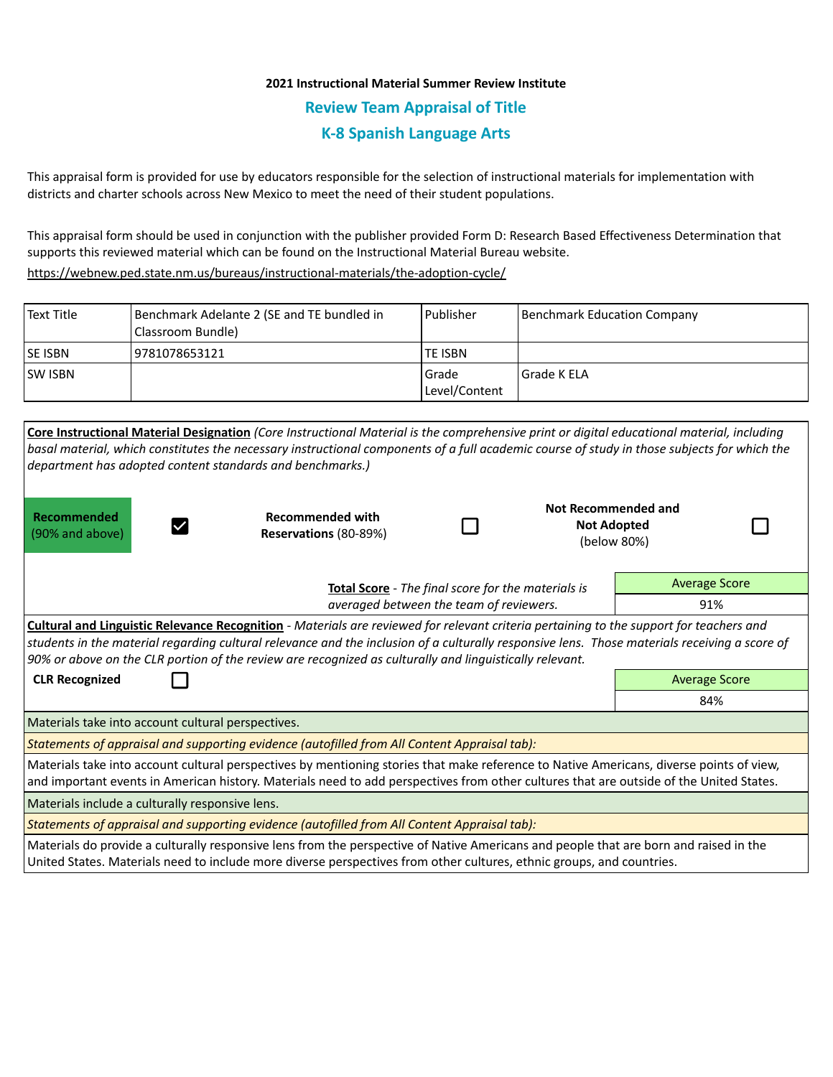## **2021 Instructional Material Summer Review Institute Review Team Appraisal of Title K-8 Spanish Language Arts**

This appraisal form is provided for use by educators responsible for the selection of instructional materials for implementation with districts and charter schools across New Mexico to meet the need of their student populations.

This appraisal form should be used in conjunction with the publisher provided Form D: Research Based Effectiveness Determination that supports this reviewed material which can be found on the Instructional Material Bureau website.

<https://webnew.ped.state.nm.us/bureaus/instructional-materials/the-adoption-cycle/>

| l Text Title | Benchmark Adelante 2 (SE and TE bundled in<br>(Classroom Bundle) | l Publisher              | Benchmark Education Company |
|--------------|------------------------------------------------------------------|--------------------------|-----------------------------|
| lse isbn     | 19781078653121                                                   | <b>TE ISBN</b>           |                             |
| lsw Isbn     |                                                                  | l Grade<br>Level/Content | l Grade K ELA               |

|                                                    | Core Instructional Material Designation (Core Instructional Material is the comprehensive print or digital educational material, including<br>basal material, which constitutes the necessary instructional components of a full academic course of study in those subjects for which the<br>department has adopted content standards and benchmarks.)                                              |  |                                                          |                      |  |
|----------------------------------------------------|-----------------------------------------------------------------------------------------------------------------------------------------------------------------------------------------------------------------------------------------------------------------------------------------------------------------------------------------------------------------------------------------------------|--|----------------------------------------------------------|----------------------|--|
| Recommended<br>(90% and above)                     | <b>Recommended with</b><br>Reservations (80-89%)                                                                                                                                                                                                                                                                                                                                                    |  | Not Recommended and<br><b>Not Adopted</b><br>(below 80%) |                      |  |
| Total Score - The final score for the materials is |                                                                                                                                                                                                                                                                                                                                                                                                     |  |                                                          | <b>Average Score</b> |  |
| averaged between the team of reviewers.            |                                                                                                                                                                                                                                                                                                                                                                                                     |  |                                                          | 91%                  |  |
|                                                    | Cultural and Linguistic Relevance Recognition - Materials are reviewed for relevant criteria pertaining to the support for teachers and<br>students in the material regarding cultural relevance and the inclusion of a culturally responsive lens. Those materials receiving a score of<br>90% or above on the CLR portion of the review are recognized as culturally and linguistically relevant. |  |                                                          |                      |  |
| <b>CLR Recognized</b>                              |                                                                                                                                                                                                                                                                                                                                                                                                     |  |                                                          | <b>Average Score</b> |  |
|                                                    |                                                                                                                                                                                                                                                                                                                                                                                                     |  |                                                          | 84%                  |  |
| Materials take into account cultural perspectives. |                                                                                                                                                                                                                                                                                                                                                                                                     |  |                                                          |                      |  |
|                                                    | Statements of appraisal and supporting evidence (autofilled from All Content Appraisal tab):                                                                                                                                                                                                                                                                                                        |  |                                                          |                      |  |
|                                                    | Materials take into account cultural perspectives by mentioning stories that make reference to Native Americans, diverse points of view,<br>and important events in American history. Materials need to add perspectives from other cultures that are outside of the United States.                                                                                                                 |  |                                                          |                      |  |
| Materials include a culturally responsive lens.    |                                                                                                                                                                                                                                                                                                                                                                                                     |  |                                                          |                      |  |
|                                                    | Statements of appraisal and supporting evidence (autofilled from All Content Appraisal tab):                                                                                                                                                                                                                                                                                                        |  |                                                          |                      |  |
|                                                    | Materials do provide a culturally responsive lens from the perspective of Native Americans and people that are born and raised in the<br>United States. Materials need to include more diverse perspectives from other cultures, ethnic groups, and countries.                                                                                                                                      |  |                                                          |                      |  |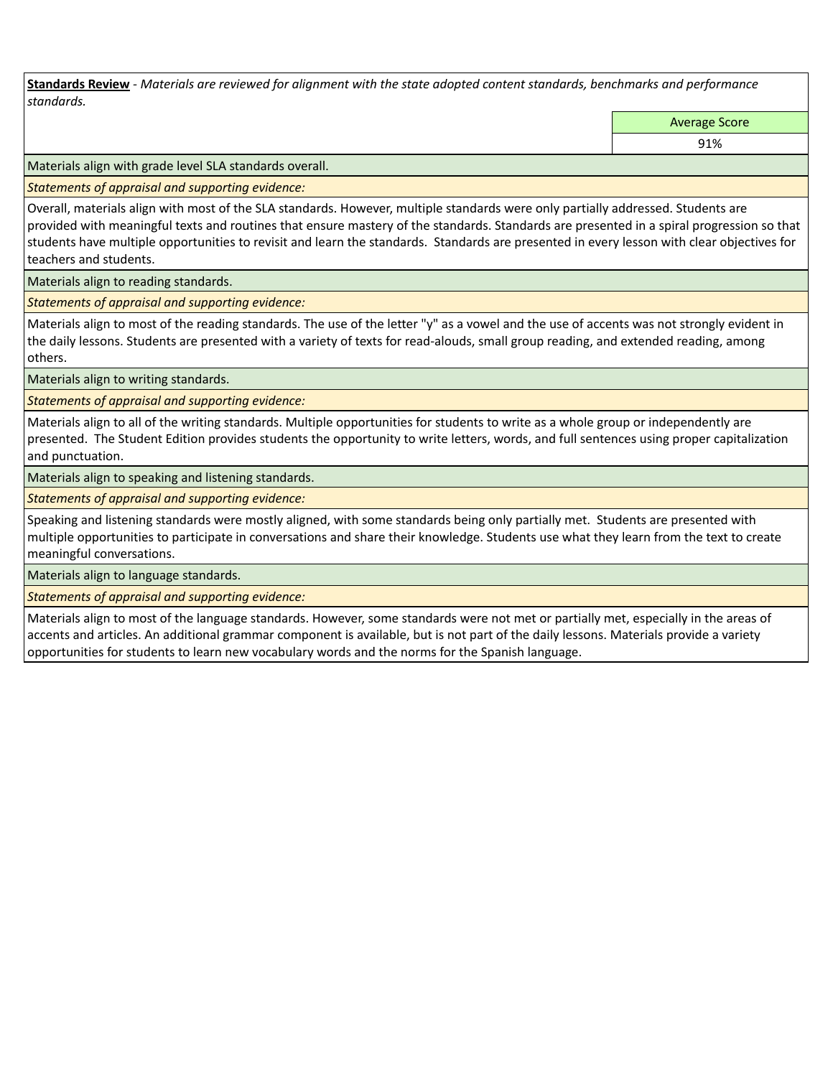**Standards Review** *- Materials are reviewed for alignment with the state adopted content standards, benchmarks and performance standards.*

Average Score

91%

Materials align with grade level SLA standards overall.

*Statements of appraisal and supporting evidence:* 

Overall, materials align with most of the SLA standards. However, multiple standards were only partially addressed. Students are provided with meaningful texts and routines that ensure mastery of the standards. Standards are presented in a spiral progression so that students have multiple opportunities to revisit and learn the standards. Standards are presented in every lesson with clear objectives for teachers and students.

Materials align to reading standards.

*Statements of appraisal and supporting evidence:* 

Materials align to most of the reading standards. The use of the letter "y" as a vowel and the use of accents was not strongly evident in the daily lessons. Students are presented with a variety of texts for read-alouds, small group reading, and extended reading, among others.

Materials align to writing standards.

*Statements of appraisal and supporting evidence:* 

Materials align to all of the writing standards. Multiple opportunities for students to write as a whole group or independently are presented. The Student Edition provides students the opportunity to write letters, words, and full sentences using proper capitalization and punctuation.

Materials align to speaking and listening standards.

*Statements of appraisal and supporting evidence:* 

Speaking and listening standards were mostly aligned, with some standards being only partially met. Students are presented with multiple opportunities to participate in conversations and share their knowledge. Students use what they learn from the text to create meaningful conversations.

Materials align to language standards.

*Statements of appraisal and supporting evidence:* 

Materials align to most of the language standards. However, some standards were not met or partially met, especially in the areas of accents and articles. An additional grammar component is available, but is not part of the daily lessons. Materials provide a variety opportunities for students to learn new vocabulary words and the norms for the Spanish language.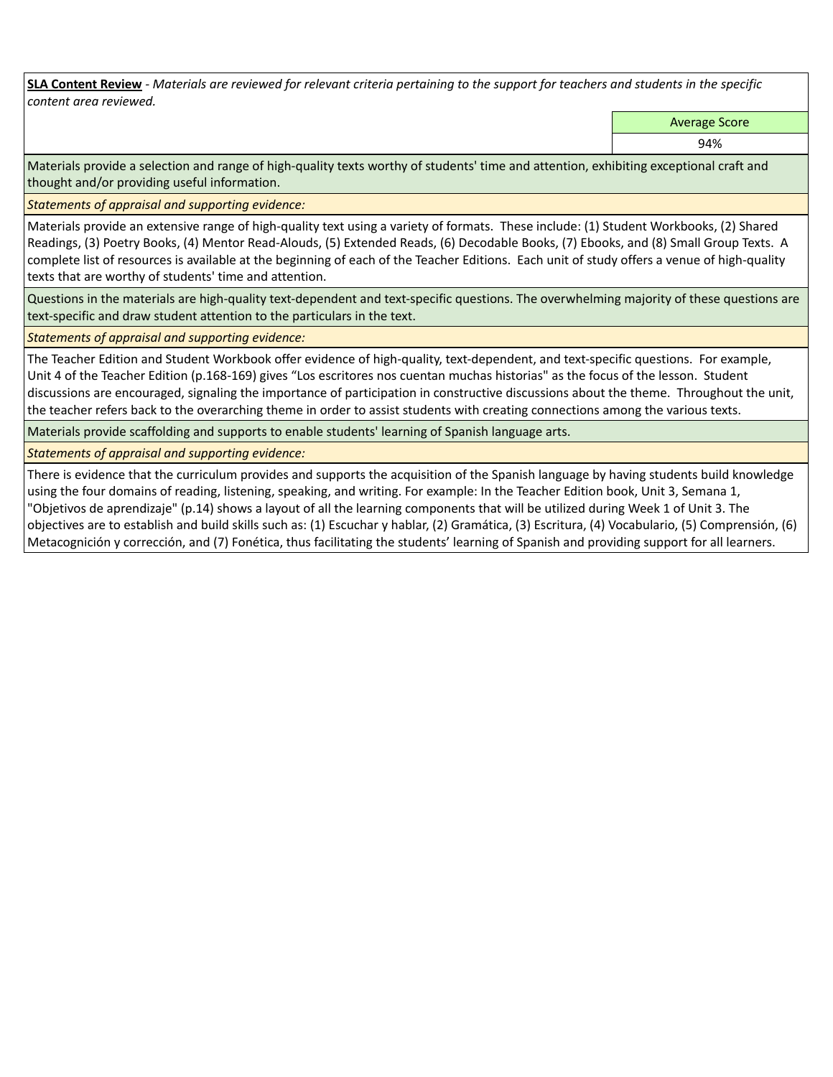**SLA Content Review** *- Materials are reviewed for relevant criteria pertaining to the support for teachers and students in the specific content area reviewed.*

Average Score

94%

Materials provide a selection and range of high-quality texts worthy of students' time and attention, exhibiting exceptional craft and thought and/or providing useful information.

*Statements of appraisal and supporting evidence:* 

Materials provide an extensive range of high-quality text using a variety of formats. These include: (1) Student Workbooks, (2) Shared Readings, (3) Poetry Books, (4) Mentor Read-Alouds, (5) Extended Reads, (6) Decodable Books, (7) Ebooks, and (8) Small Group Texts. A complete list of resources is available at the beginning of each of the Teacher Editions. Each unit of study offers a venue of high-quality texts that are worthy of students' time and attention.

Questions in the materials are high-quality text-dependent and text-specific questions. The overwhelming majority of these questions are text-specific and draw student attention to the particulars in the text.

*Statements of appraisal and supporting evidence:* 

The Teacher Edition and Student Workbook offer evidence of high-quality, text-dependent, and text-specific questions. For example, Unit 4 of the Teacher Edition (p.168-169) gives "Los escritores nos cuentan muchas historias" as the focus of the lesson. Student discussions are encouraged, signaling the importance of participation in constructive discussions about the theme. Throughout the unit, the teacher refers back to the overarching theme in order to assist students with creating connections among the various texts.

Materials provide scaffolding and supports to enable students' learning of Spanish language arts.

*Statements of appraisal and supporting evidence:* 

There is evidence that the curriculum provides and supports the acquisition of the Spanish language by having students build knowledge using the four domains of reading, listening, speaking, and writing. For example: In the Teacher Edition book, Unit 3, Semana 1, "Objetivos de aprendizaje" (p.14) shows a layout of all the learning components that will be utilized during Week 1 of Unit 3. The objectives are to establish and build skills such as: (1) Escuchar y hablar, (2) Gramática, (3) Escritura, (4) Vocabulario, (5) Comprensión, (6) Metacognición y corrección, and (7) Fonética, thus facilitating the students' learning of Spanish and providing support for all learners.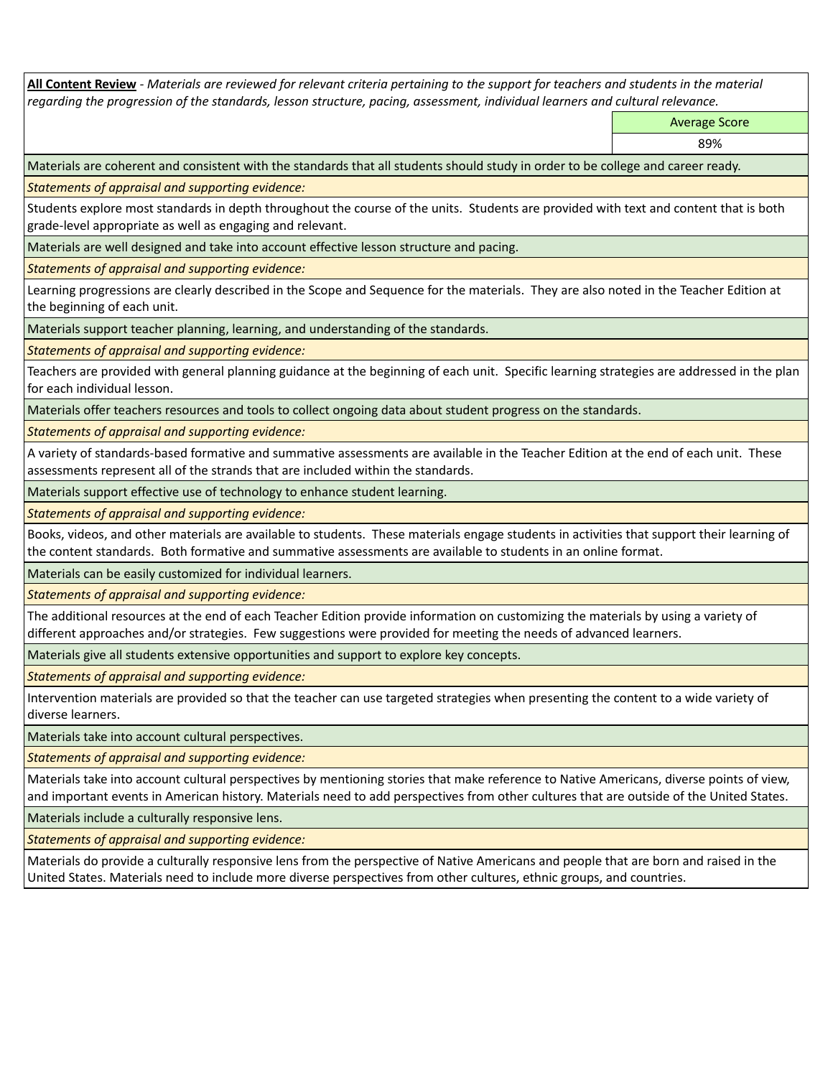**All Content Review** *- Materials are reviewed for relevant criteria pertaining to the support for teachers and students in the material regarding the progression of the standards, lesson structure, pacing, assessment, individual learners and cultural relevance.*

Average Score

89%

Materials are coherent and consistent with the standards that all students should study in order to be college and career ready.

*Statements of appraisal and supporting evidence:*

Students explore most standards in depth throughout the course of the units. Students are provided with text and content that is both grade-level appropriate as well as engaging and relevant.

Materials are well designed and take into account effective lesson structure and pacing.

*Statements of appraisal and supporting evidence:*

Learning progressions are clearly described in the Scope and Sequence for the materials. They are also noted in the Teacher Edition at the beginning of each unit.

Materials support teacher planning, learning, and understanding of the standards.

*Statements of appraisal and supporting evidence:*

Teachers are provided with general planning guidance at the beginning of each unit. Specific learning strategies are addressed in the plan for each individual lesson.

Materials offer teachers resources and tools to collect ongoing data about student progress on the standards.

*Statements of appraisal and supporting evidence:*

A variety of standards-based formative and summative assessments are available in the Teacher Edition at the end of each unit. These assessments represent all of the strands that are included within the standards.

Materials support effective use of technology to enhance student learning.

*Statements of appraisal and supporting evidence:*

Books, videos, and other materials are available to students. These materials engage students in activities that support their learning of the content standards. Both formative and summative assessments are available to students in an online format.

Materials can be easily customized for individual learners.

*Statements of appraisal and supporting evidence:* 

The additional resources at the end of each Teacher Edition provide information on customizing the materials by using a variety of different approaches and/or strategies. Few suggestions were provided for meeting the needs of advanced learners.

Materials give all students extensive opportunities and support to explore key concepts.

*Statements of appraisal and supporting evidence:*

Intervention materials are provided so that the teacher can use targeted strategies when presenting the content to a wide variety of diverse learners.

Materials take into account cultural perspectives.

*Statements of appraisal and supporting evidence:*

Materials take into account cultural perspectives by mentioning stories that make reference to Native Americans, diverse points of view, and important events in American history. Materials need to add perspectives from other cultures that are outside of the United States.

Materials include a culturally responsive lens.

*Statements of appraisal and supporting evidence:*

Materials do provide a culturally responsive lens from the perspective of Native Americans and people that are born and raised in the United States. Materials need to include more diverse perspectives from other cultures, ethnic groups, and countries.